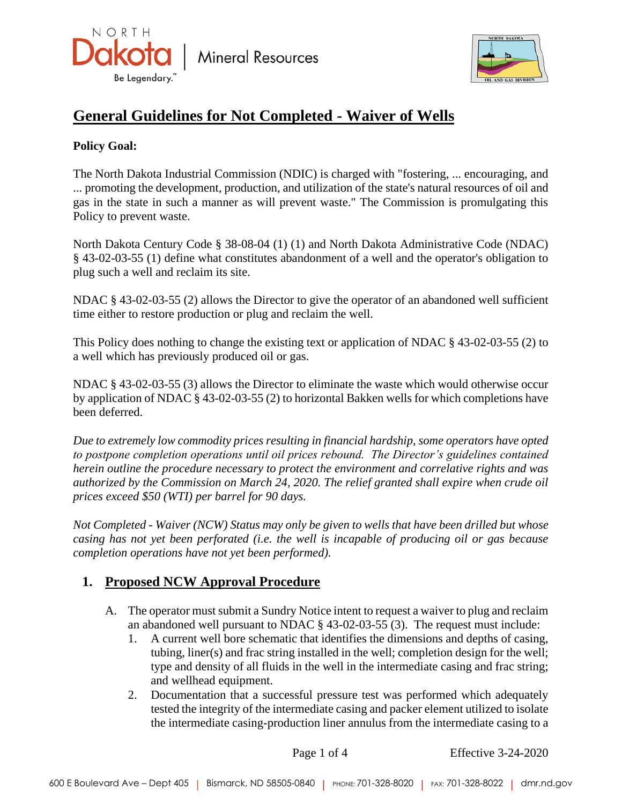



# **General Guidelines for Not Completed - Waiver of Wells**

#### **Policy Goal:**

The North Dakota Industrial Commission (NDIC) is charged with "fostering, ... encouraging, and ... promoting the development, production, and utilization of the state's natural resources of oil and gas in the state in such a manner as will prevent waste." The Commission is promulgating this Policy to prevent waste.

North Dakota Century Code § 38-08-04 (1) (1) and North Dakota Administrative Code (NDAC) § 43-02-03-55 (1) define what constitutes abandonment of a well and the operator's obligation to plug such a well and reclaim its site.

NDAC § 43-02-03-55 (2) allows the Director to give the operator of an abandoned well sufficient time either to restore production or plug and reclaim the well.

This Policy does nothing to change the existing text or application of NDAC § 43-02-03-55 (2) to a well which has previously produced oil or gas.

NDAC § 43-02-03-55 (3) allows the Director to eliminate the waste which would otherwise occur by application of NDAC § 43-02-03-55 (2) to horizontal Bakken wells for which completions have been deferred.

*Due to extremely low commodity prices resulting in financial hardship, some operators have opted to postpone completion operations until oil prices rebound. The Director's guidelines contained herein outline the procedure necessary to protect the environment and correlative rights and was authorized by the Commission on March 24, 2020. The relief granted shall expire when crude oil prices exceed \$50 (WTI) per barrel for 90 days.*

*Not Completed - Waiver (NCW) Status may only be given to wells that have been drilled but whose casing has not yet been perforated (i.e. the well is incapable of producing oil or gas because completion operations have not yet been performed).*

# **1. Proposed NCW Approval Procedure**

- A. The operator must submit a Sundry Notice intent to request a waiver to plug and reclaim an abandoned well pursuant to NDAC § 43-02-03-55 (3). The request must include:
	- 1. A current well bore schematic that identifies the dimensions and depths of casing, tubing, liner(s) and frac string installed in the well; completion design for the well; type and density of all fluids in the well in the intermediate casing and frac string; and wellhead equipment.
	- 2. Documentation that a successful pressure test was performed which adequately tested the integrity of the intermediate casing and packer element utilized to isolate the intermediate casing-production liner annulus from the intermediate casing to a

Page 1 of 4 Effective 3-24-2020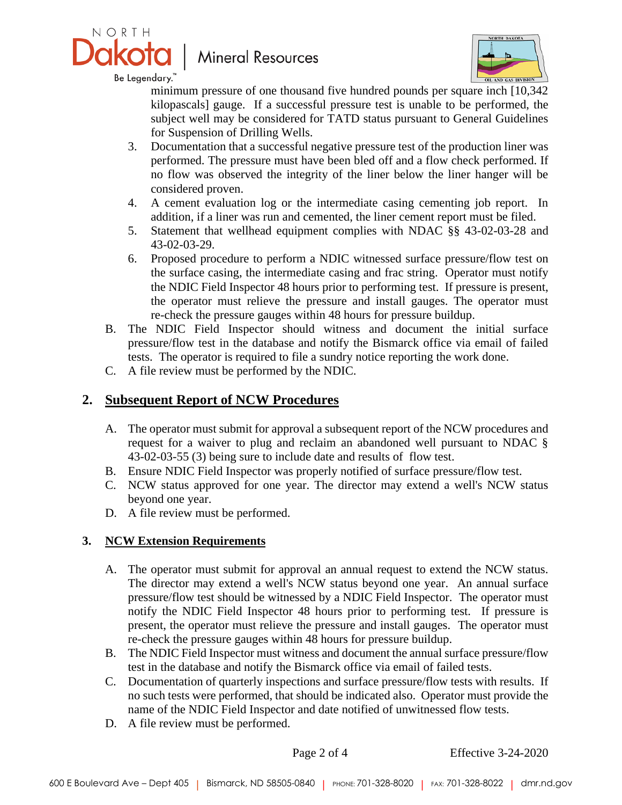

# **Mineral Resources**



Be Legendary.™

minimum pressure of one thousand five hundred pounds per square inch [10,342 kilopascals] gauge. If a successful pressure test is unable to be performed, the subject well may be considered for TATD status pursuant to General Guidelines for Suspension of Drilling Wells.

- 3. Documentation that a successful negative pressure test of the production liner was performed. The pressure must have been bled off and a flow check performed. If no flow was observed the integrity of the liner below the liner hanger will be considered proven.
- 4. A cement evaluation log or the intermediate casing cementing job report. In addition, if a liner was run and cemented, the liner cement report must be filed.
- 5. Statement that wellhead equipment complies with NDAC §§ 43-02-03-28 and 43-02-03-29.
- 6. Proposed procedure to perform a NDIC witnessed surface pressure/flow test on the surface casing, the intermediate casing and frac string. Operator must notify the NDIC Field Inspector 48 hours prior to performing test. If pressure is present, the operator must relieve the pressure and install gauges. The operator must re-check the pressure gauges within 48 hours for pressure buildup.
- B. The NDIC Field Inspector should witness and document the initial surface pressure/flow test in the database and notify the Bismarck office via email of failed tests. The operator is required to file a sundry notice reporting the work done.
- C. A file review must be performed by the NDIC.

## **2. Subsequent Report of NCW Procedures**

- A. The operator must submit for approval a subsequent report of the NCW procedures and request for a waiver to plug and reclaim an abandoned well pursuant to NDAC § 43-02-03-55 (3) being sure to include date and results of flow test.
- B. Ensure NDIC Field Inspector was properly notified of surface pressure/flow test.
- C. NCW status approved for one year. The director may extend a well's NCW status beyond one year.
- D. A file review must be performed.

#### **3. NCW Extension Requirements**

- A. The operator must submit for approval an annual request to extend the NCW status. The director may extend a well's NCW status beyond one year. An annual surface pressure/flow test should be witnessed by a NDIC Field Inspector. The operator must notify the NDIC Field Inspector 48 hours prior to performing test. If pressure is present, the operator must relieve the pressure and install gauges. The operator must re-check the pressure gauges within 48 hours for pressure buildup.
- B. The NDIC Field Inspector must witness and document the annual surface pressure/flow test in the database and notify the Bismarck office via email of failed tests.
- C. Documentation of quarterly inspections and surface pressure/flow tests with results. If no such tests were performed, that should be indicated also. Operator must provide the name of the NDIC Field Inspector and date notified of unwitnessed flow tests.
- D. A file review must be performed.

Page 2 of 4 Effective 3-24-2020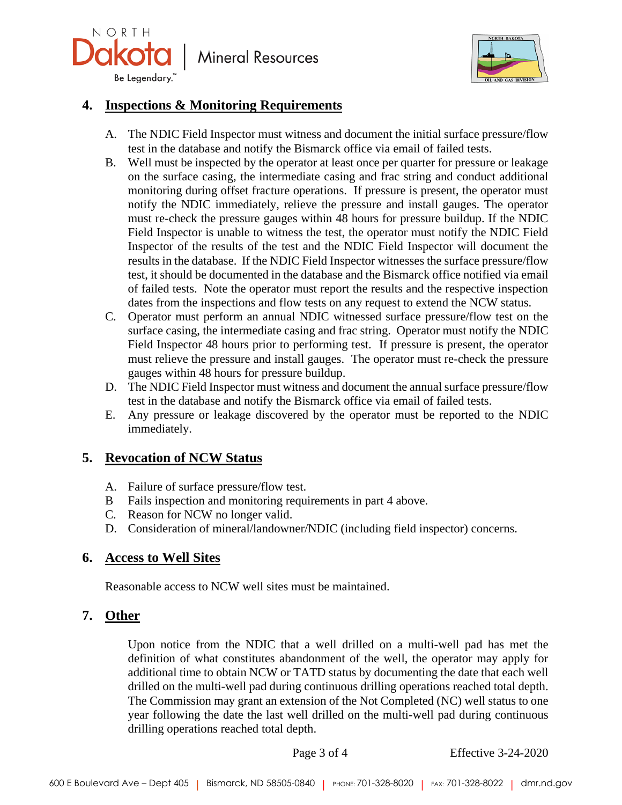

**Mineral Resources** 



### **4. Inspections & Monitoring Requirements**

- A. The NDIC Field Inspector must witness and document the initial surface pressure/flow test in the database and notify the Bismarck office via email of failed tests.
- B. Well must be inspected by the operator at least once per quarter for pressure or leakage on the surface casing, the intermediate casing and frac string and conduct additional monitoring during offset fracture operations. If pressure is present, the operator must notify the NDIC immediately, relieve the pressure and install gauges. The operator must re-check the pressure gauges within 48 hours for pressure buildup. If the NDIC Field Inspector is unable to witness the test, the operator must notify the NDIC Field Inspector of the results of the test and the NDIC Field Inspector will document the results in the database. If the NDIC Field Inspector witnesses the surface pressure/flow test, it should be documented in the database and the Bismarck office notified via email of failed tests. Note the operator must report the results and the respective inspection dates from the inspections and flow tests on any request to extend the NCW status.
- C. Operator must perform an annual NDIC witnessed surface pressure/flow test on the surface casing, the intermediate casing and frac string. Operator must notify the NDIC Field Inspector 48 hours prior to performing test. If pressure is present, the operator must relieve the pressure and install gauges. The operator must re-check the pressure gauges within 48 hours for pressure buildup.
- D. The NDIC Field Inspector must witness and document the annual surface pressure/flow test in the database and notify the Bismarck office via email of failed tests.
- E. Any pressure or leakage discovered by the operator must be reported to the NDIC immediately.

### **5. Revocation of NCW Status**

- A. Failure of surface pressure/flow test.
- B Fails inspection and monitoring requirements in part 4 above.
- C. Reason for NCW no longer valid.
- D. Consideration of mineral/landowner/NDIC (including field inspector) concerns.

### **6. Access to Well Sites**

Reasonable access to NCW well sites must be maintained.

### **7. Other**

Upon notice from the NDIC that a well drilled on a multi-well pad has met the definition of what constitutes abandonment of the well, the operator may apply for additional time to obtain NCW or TATD status by documenting the date that each well drilled on the multi-well pad during continuous drilling operations reached total depth. The Commission may grant an extension of the Not Completed (NC) well status to one year following the date the last well drilled on the multi-well pad during continuous drilling operations reached total depth.

Page 3 of 4 Effective 3-24-2020